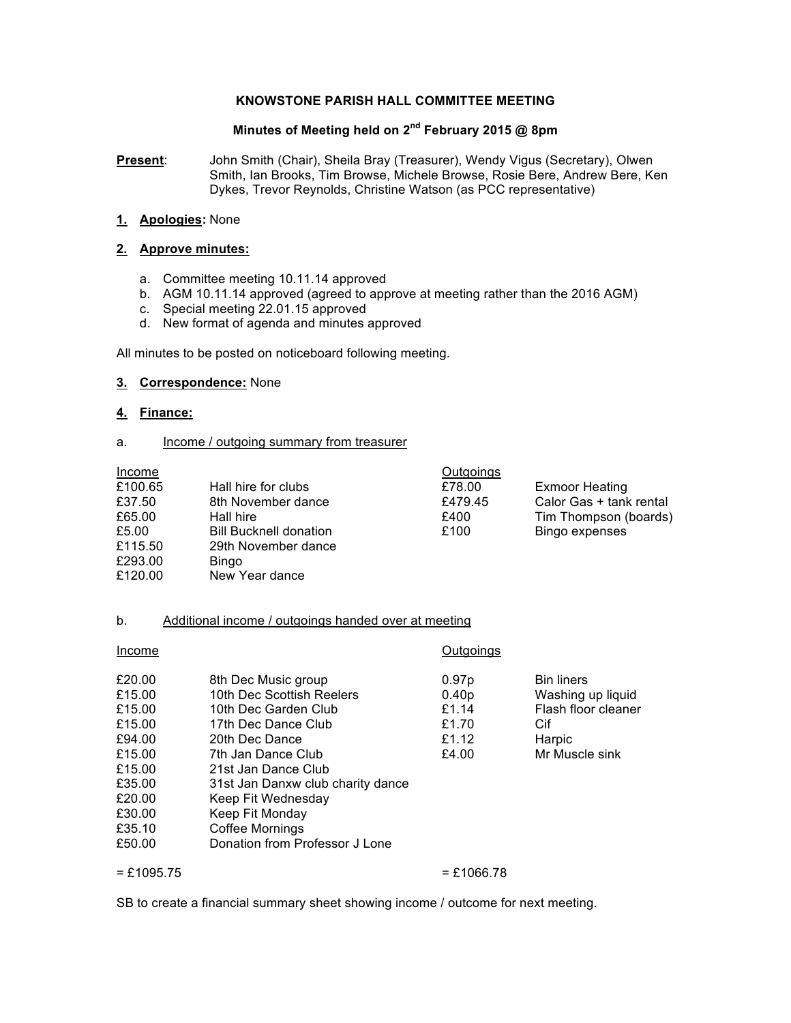#### **KNOWSTONE PARISH HALL COMMITTEE MEETING**

# **Minutes of Meeting held on 2nd February 2015 @ 8pm**

**Present**: John Smith (Chair), Sheila Bray (Treasurer), Wendy Vigus (Secretary), Olwen Smith, Ian Brooks, Tim Browse, Michele Browse, Rosie Bere, Andrew Bere, Ken Dykes, Trevor Reynolds, Christine Watson (as PCC representative)

**1. Apologies:** None

#### **2. Approve minutes:**

- a. Committee meeting 10.11.14 approved
- b. AGM 10.11.14 approved (agreed to approve at meeting rather than the 2016 AGM)
- c. Special meeting 22.01.15 approved
- d. New format of agenda and minutes approved

All minutes to be posted on noticeboard following meeting.

### **3. Correspondence:** None

### **4. Finance:**

#### a. Income / outgoing summary from treasurer

| Income  |                               | Outgoings |                         |
|---------|-------------------------------|-----------|-------------------------|
| £100.65 | Hall hire for clubs           | £78.00    | <b>Exmoor Heating</b>   |
| £37.50  | 8th November dance            | £479.45   | Calor Gas + tank rental |
| £65.00  | Hall hire                     | £400      | Tim Thompson (boards)   |
| £5.00   | <b>Bill Bucknell donation</b> | £100      | Bingo expenses          |
| £115.50 | 29th November dance           |           |                         |
| £293.00 | <b>Bingo</b>                  |           |                         |
| £120.00 | New Year dance                |           |                         |
|         |                               |           |                         |

#### b. Additional income / outgoings handed over at meeting

| Income                                                                                                     |                                                                                                                                                                                                                                                                 | Outgoings                                                      |                                                                                                  |
|------------------------------------------------------------------------------------------------------------|-----------------------------------------------------------------------------------------------------------------------------------------------------------------------------------------------------------------------------------------------------------------|----------------------------------------------------------------|--------------------------------------------------------------------------------------------------|
| £20.00<br>£15.00<br>£15.00<br>£15.00<br>£94.00<br>£15.00<br>£15.00<br>£35.00<br>£20.00<br>£30.00<br>£35.10 | 8th Dec Music group<br>10th Dec Scottish Reelers<br>10th Dec Garden Club<br>17th Dec Dance Club<br>20th Dec Dance<br>7th Jan Dance Club<br>21st Jan Dance Club<br>31st Jan Danxw club charity dance<br>Keep Fit Wednesday<br>Keep Fit Monday<br>Coffee Mornings | 0.97p<br>0.40 <sub>p</sub><br>£1.14<br>£1.70<br>£1.12<br>£4.00 | <b>Bin liners</b><br>Washing up liquid<br>Flash floor cleaner<br>Cif<br>Harpic<br>Mr Muscle sink |
| £50.00                                                                                                     | Donation from Professor J Lone                                                                                                                                                                                                                                  |                                                                |                                                                                                  |

#### $= £1095.75$   $= £1066.78$

SB to create a financial summary sheet showing income / outcome for next meeting.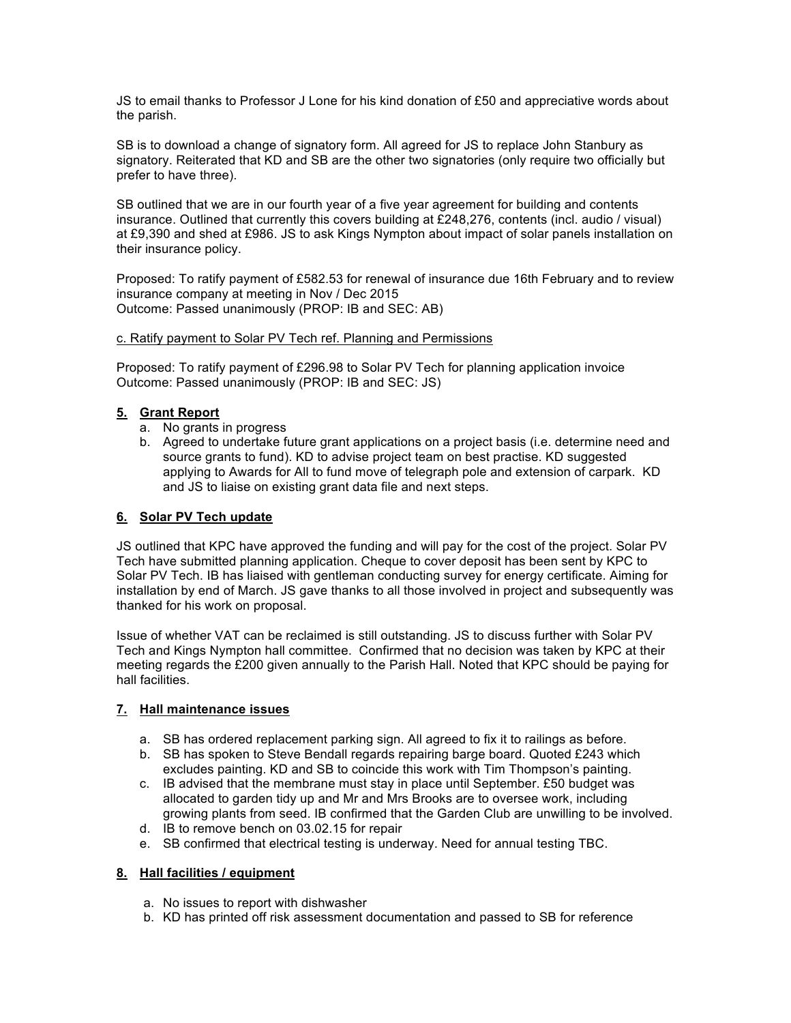JS to email thanks to Professor J Lone for his kind donation of £50 and appreciative words about the parish.

SB is to download a change of signatory form. All agreed for JS to replace John Stanbury as signatory. Reiterated that KD and SB are the other two signatories (only require two officially but prefer to have three).

SB outlined that we are in our fourth year of a five year agreement for building and contents insurance. Outlined that currently this covers building at £248,276, contents (incl. audio / visual) at £9,390 and shed at £986. JS to ask Kings Nympton about impact of solar panels installation on their insurance policy.

Proposed: To ratify payment of £582.53 for renewal of insurance due 16th February and to review insurance company at meeting in Nov / Dec 2015 Outcome: Passed unanimously (PROP: IB and SEC: AB)

#### c. Ratify payment to Solar PV Tech ref. Planning and Permissions

Proposed: To ratify payment of £296.98 to Solar PV Tech for planning application invoice Outcome: Passed unanimously (PROP: IB and SEC: JS)

### **5. Grant Report**

- a. No grants in progress
- b. Agreed to undertake future grant applications on a project basis (i.e. determine need and source grants to fund). KD to advise project team on best practise. KD suggested applying to Awards for All to fund move of telegraph pole and extension of carpark. KD and JS to liaise on existing grant data file and next steps.

### **6. Solar PV Tech update**

JS outlined that KPC have approved the funding and will pay for the cost of the project. Solar PV Tech have submitted planning application. Cheque to cover deposit has been sent by KPC to Solar PV Tech. IB has liaised with gentleman conducting survey for energy certificate. Aiming for installation by end of March. JS gave thanks to all those involved in project and subsequently was thanked for his work on proposal.

Issue of whether VAT can be reclaimed is still outstanding. JS to discuss further with Solar PV Tech and Kings Nympton hall committee. Confirmed that no decision was taken by KPC at their meeting regards the £200 given annually to the Parish Hall. Noted that KPC should be paying for hall facilities.

### **7. Hall maintenance issues**

- a. SB has ordered replacement parking sign. All agreed to fix it to railings as before.
- b. SB has spoken to Steve Bendall regards repairing barge board. Quoted £243 which excludes painting. KD and SB to coincide this work with Tim Thompson's painting.
- c. IB advised that the membrane must stay in place until September. £50 budget was allocated to garden tidy up and Mr and Mrs Brooks are to oversee work, including growing plants from seed. IB confirmed that the Garden Club are unwilling to be involved.
- d. IB to remove bench on 03.02.15 for repair
- e. SB confirmed that electrical testing is underway. Need for annual testing TBC.

### **8. Hall facilities / equipment**

- a. No issues to report with dishwasher
- b. KD has printed off risk assessment documentation and passed to SB for reference